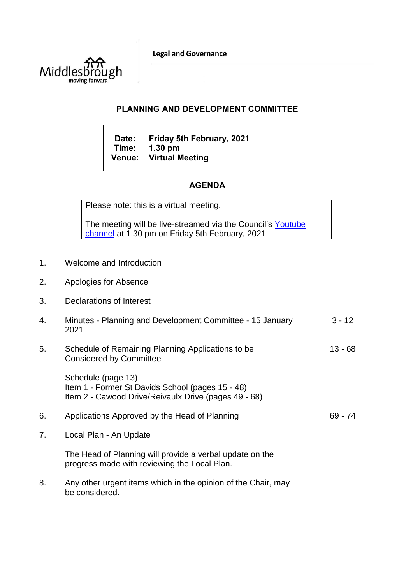**Legal and Governance** 



## **PLANNING AND DEVELOPMENT COMMITTEE**

**Date: Friday 5th February, 2021 Time: 1.30 pm Venue: Virtual Meeting**

## **AGENDA**

Please note: this is a virtual meeting.

The meeting will be live-streamed via the Council's Youtube [channel](https://www.youtube.com/user/middlesbroughcouncil) at 1.30 pm on Friday 5th February, 2021

- 1. Welcome and Introduction
- 2. Apologies for Absence
- 3. Declarations of Interest
- 4. Minutes Planning and Development Committee 15 January 2021  $3 - 12$
- 5. Schedule of Remaining Planning Applications to be Considered by Committee 13 - 68

Schedule (page 13) Item 1 - Former St Davids School (pages 15 - 48) Item 2 - Cawood Drive/Reivaulx Drive (pages 49 - 68)

- 6. Applications Approved by the Head of Planning 69 74
- 7. Local Plan An Update

The Head of Planning will provide a verbal update on the progress made with reviewing the Local Plan.

8. Any other urgent items which in the opinion of the Chair, may be considered.